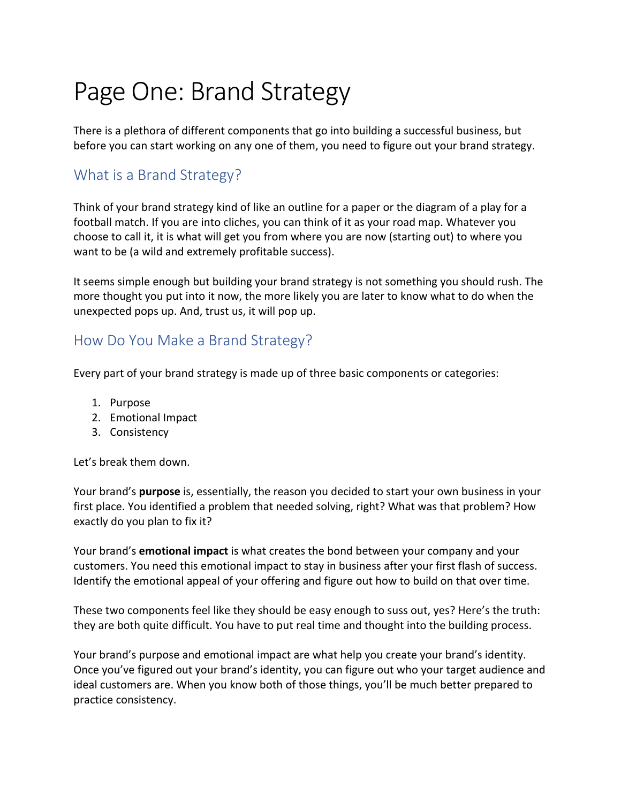## Page One: Brand Strategy

There is a plethora of different components that go into building a successful business, but before you can start working on any one of them, you need to figure out your brand strategy.

## What is a Brand Strategy?

Think of your brand strategy kind of like an outline for a paper or the diagram of a play for a football match. If you are into cliches, you can think of it as your road map. Whatever you choose to call it, it is what will get you from where you are now (starting out) to where you want to be (a wild and extremely profitable success).

It seems simple enough but building your brand strategy is not something you should rush. The more thought you put into it now, the more likely you are later to know what to do when the unexpected pops up. And, trust us, it will pop up.

#### How Do You Make a Brand Strategy?

Every part of your brand strategy is made up of three basic components or categories:

- 1. Purpose
- 2. Emotional Impact
- 3. Consistency

Let's break them down.

Your brand's **purpose** is, essentially, the reason you decided to start your own business in your first place. You identified a problem that needed solving, right? What was that problem? How exactly do you plan to fix it?

Your brand's **emotional impact** is what creates the bond between your company and your customers. You need this emotional impact to stay in business after your first flash of success. Identify the emotional appeal of your offering and figure out how to build on that over time.

These two components feel like they should be easy enough to suss out, yes? Here's the truth: they are both quite difficult. You have to put real time and thought into the building process.

Your brand's purpose and emotional impact are what help you create your brand's identity. Once you've figured out your brand's identity, you can figure out who your target audience and ideal customers are. When you know both of those things, you'll be much better prepared to practice consistency.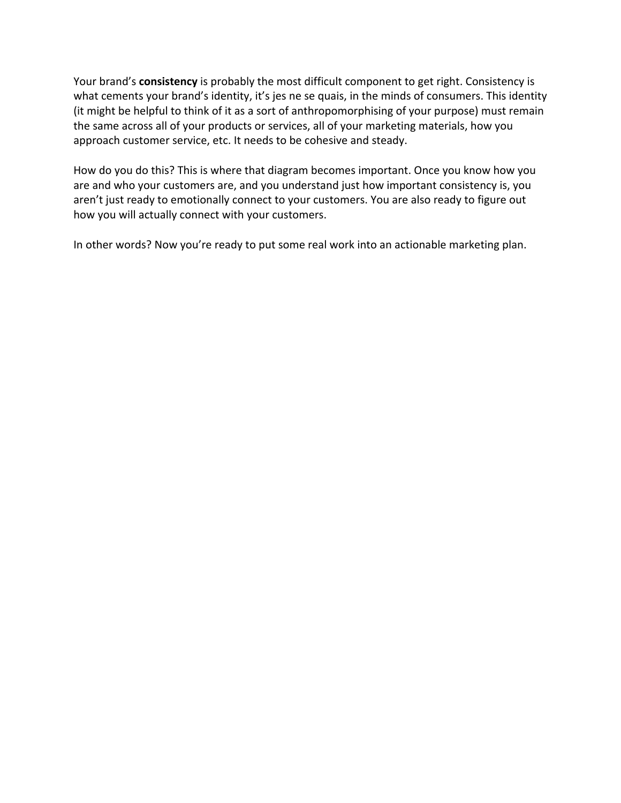Your brand's **consistency** is probably the most difficult component to get right. Consistency is what cements your brand's identity, it's jes ne se quais, in the minds of consumers. This identity (it might be helpful to think of it as a sort of anthropomorphising of your purpose) must remain the same across all of your products or services, all of your marketing materials, how you approach customer service, etc. It needs to be cohesive and steady.

How do you do this? This is where that diagram becomes important. Once you know how you are and who your customers are, and you understand just how important consistency is, you aren't just ready to emotionally connect to your customers. You are also ready to figure out how you will actually connect with your customers.

In other words? Now you're ready to put some real work into an actionable marketing plan.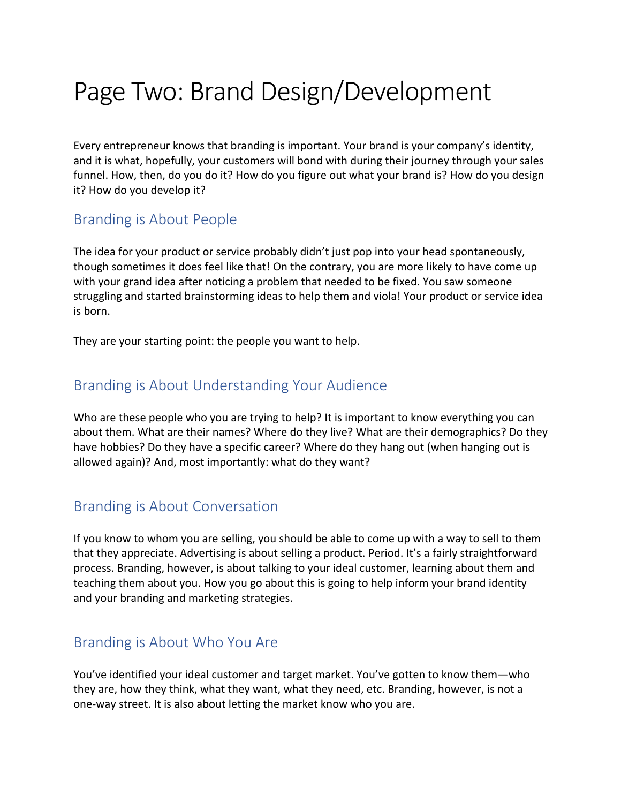## Page Two: Brand Design/Development

Every entrepreneur knows that branding is important. Your brand is your company's identity, and it is what, hopefully, your customers will bond with during their journey through your sales funnel. How, then, do you do it? How do you figure out what your brand is? How do you design it? How do you develop it?

#### Branding is About People

The idea for your product or service probably didn't just pop into your head spontaneously, though sometimes it does feel like that! On the contrary, you are more likely to have come up with your grand idea after noticing a problem that needed to be fixed. You saw someone struggling and started brainstorming ideas to help them and viola! Your product or service idea is born.

They are your starting point: the people you want to help.

#### Branding is About Understanding Your Audience

Who are these people who you are trying to help? It is important to know everything you can about them. What are their names? Where do they live? What are their demographics? Do they have hobbies? Do they have a specific career? Where do they hang out (when hanging out is allowed again)? And, most importantly: what do they want?

#### Branding is About Conversation

If you know to whom you are selling, you should be able to come up with a way to sell to them that they appreciate. Advertising is about selling a product. Period. It's a fairly straightforward process. Branding, however, is about talking to your ideal customer, learning about them and teaching them about you. How you go about this is going to help inform your brand identity and your branding and marketing strategies.

#### Branding is About Who You Are

You've identified your ideal customer and target market. You've gotten to know them—who they are, how they think, what they want, what they need, etc. Branding, however, is not a one-way street. It is also about letting the market know who you are.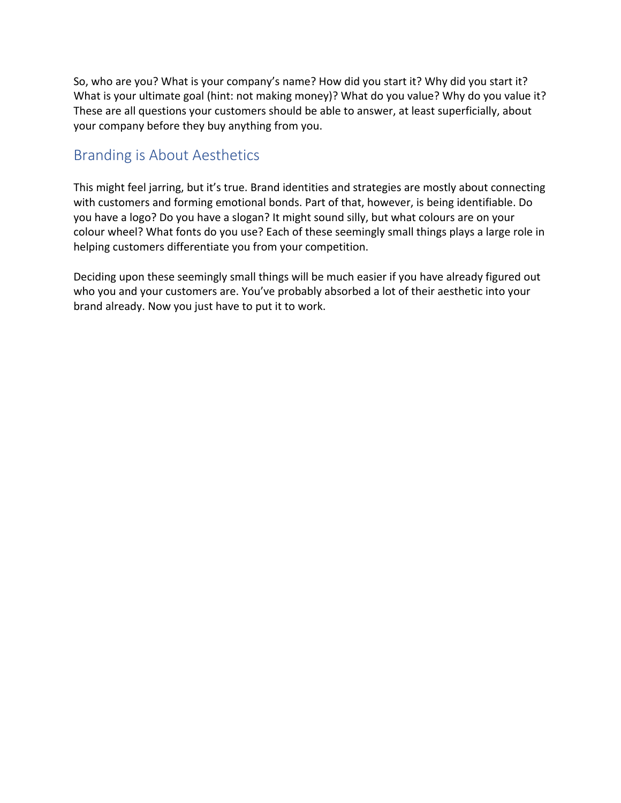So, who are you? What is your company's name? How did you start it? Why did you start it? What is your ultimate goal (hint: not making money)? What do you value? Why do you value it? These are all questions your customers should be able to answer, at least superficially, about your company before they buy anything from you.

### Branding is About Aesthetics

This might feel jarring, but it's true. Brand identities and strategies are mostly about connecting with customers and forming emotional bonds. Part of that, however, is being identifiable. Do you have a logo? Do you have a slogan? It might sound silly, but what colours are on your colour wheel? What fonts do you use? Each of these seemingly small things plays a large role in helping customers differentiate you from your competition.

Deciding upon these seemingly small things will be much easier if you have already figured out who you and your customers are. You've probably absorbed a lot of their aesthetic into your brand already. Now you just have to put it to work.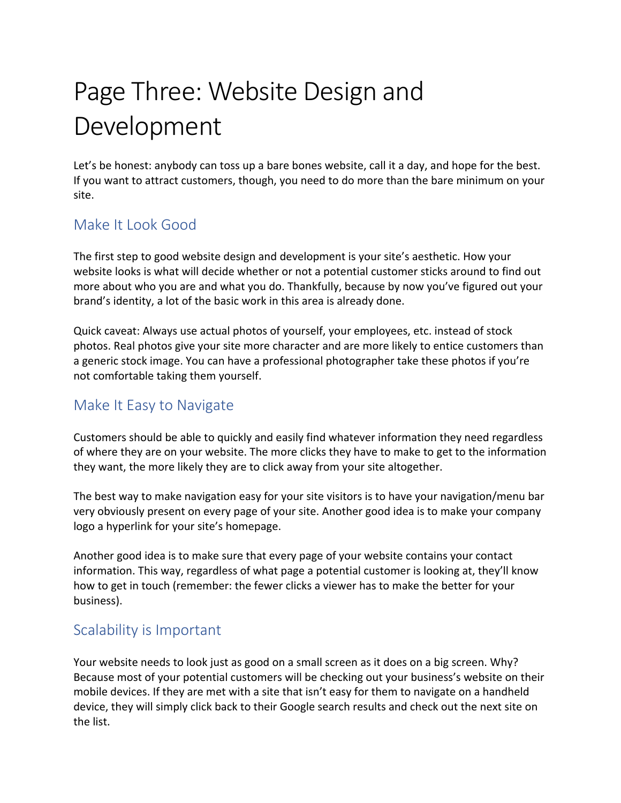# Page Three: Website Design and Development

Let's be honest: anybody can toss up a bare bones website, call it a day, and hope for the best. If you want to attract customers, though, you need to do more than the bare minimum on your site.

## Make It Look Good

The first step to good website design and development is your site's aesthetic. How your website looks is what will decide whether or not a potential customer sticks around to find out more about who you are and what you do. Thankfully, because by now you've figured out your brand's identity, a lot of the basic work in this area is already done.

Quick caveat: Always use actual photos of yourself, your employees, etc. instead of stock photos. Real photos give your site more character and are more likely to entice customers than a generic stock image. You can have a professional photographer take these photos if you're not comfortable taking them yourself.

## Make It Easy to Navigate

Customers should be able to quickly and easily find whatever information they need regardless of where they are on your website. The more clicks they have to make to get to the information they want, the more likely they are to click away from your site altogether.

The best way to make navigation easy for your site visitors is to have your navigation/menu bar very obviously present on every page of your site. Another good idea is to make your company logo a hyperlink for your site's homepage.

Another good idea is to make sure that every page of your website contains your contact information. This way, regardless of what page a potential customer is looking at, they'll know how to get in touch (remember: the fewer clicks a viewer has to make the better for your business).

## Scalability is Important

Your website needs to look just as good on a small screen as it does on a big screen. Why? Because most of your potential customers will be checking out your business's website on their mobile devices. If they are met with a site that isn't easy for them to navigate on a handheld device, they will simply click back to their Google search results and check out the next site on the list.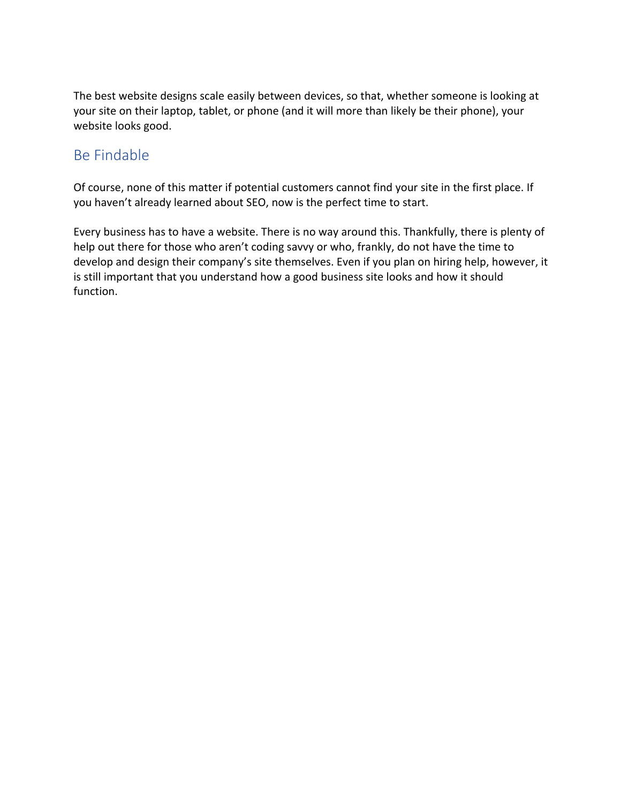The best website designs scale easily between devices, so that, whether someone is looking at your site on their laptop, tablet, or phone (and it will more than likely be their phone), your website looks good.

## Be Findable

Of course, none of this matter if potential customers cannot find your site in the first place. If you haven't already learned about SEO, now is the perfect time to start.

Every business has to have a website. There is no way around this. Thankfully, there is plenty of help out there for those who aren't coding savvy or who, frankly, do not have the time to develop and design their company's site themselves. Even if you plan on hiring help, however, it is still important that you understand how a good business site looks and how it should function.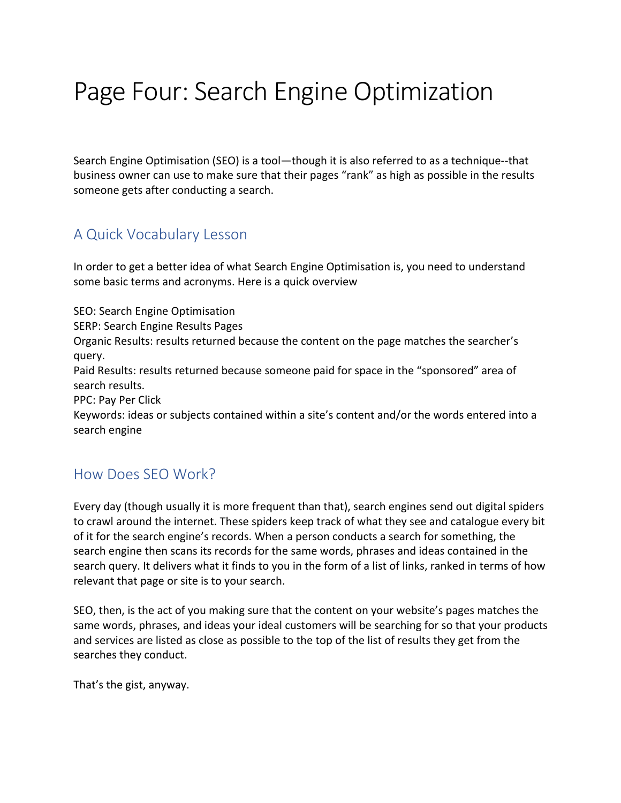## Page Four: Search Engine Optimization

Search Engine Optimisation (SEO) is a tool—though it is also referred to as a technique--that business owner can use to make sure that their pages "rank" as high as possible in the results someone gets after conducting a search.

#### A Quick Vocabulary Lesson

In order to get a better idea of what Search Engine Optimisation is, you need to understand some basic terms and acronyms. Here is a quick overview

SEO: Search Engine Optimisation

SERP: Search Engine Results Pages

Organic Results: results returned because the content on the page matches the searcher's query.

Paid Results: results returned because someone paid for space in the "sponsored" area of search results.

PPC: Pay Per Click

Keywords: ideas or subjects contained within a site's content and/or the words entered into a search engine

## How Does SEO Work?

Every day (though usually it is more frequent than that), search engines send out digital spiders to crawl around the internet. These spiders keep track of what they see and catalogue every bit of it for the search engine's records. When a person conducts a search for something, the search engine then scans its records for the same words, phrases and ideas contained in the search query. It delivers what it finds to you in the form of a list of links, ranked in terms of how relevant that page or site is to your search.

SEO, then, is the act of you making sure that the content on your website's pages matches the same words, phrases, and ideas your ideal customers will be searching for so that your products and services are listed as close as possible to the top of the list of results they get from the searches they conduct.

That's the gist, anyway.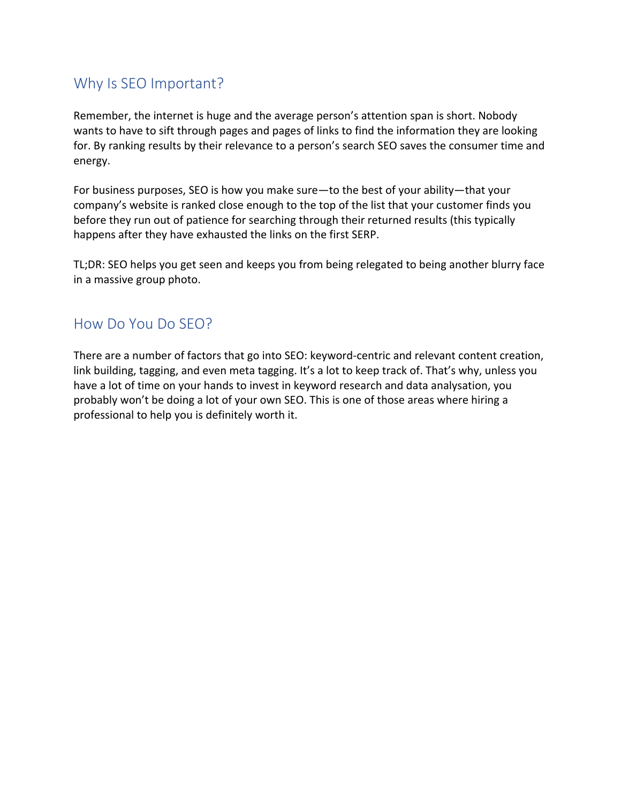### Why Is SEO Important?

Remember, the internet is huge and the average person's attention span is short. Nobody wants to have to sift through pages and pages of links to find the information they are looking for. By ranking results by their relevance to a person's search SEO saves the consumer time and energy.

For business purposes, SEO is how you make sure—to the best of your ability—that your company's website is ranked close enough to the top of the list that your customer finds you before they run out of patience for searching through their returned results (this typically happens after they have exhausted the links on the first SERP.

TL;DR: SEO helps you get seen and keeps you from being relegated to being another blurry face in a massive group photo.

#### How Do You Do SEO?

There are a number of factors that go into SEO: keyword-centric and relevant content creation, link building, tagging, and even meta tagging. It's a lot to keep track of. That's why, unless you have a lot of time on your hands to invest in keyword research and data analysation, you probably won't be doing a lot of your own SEO. This is one of those areas where hiring a professional to help you is definitely worth it.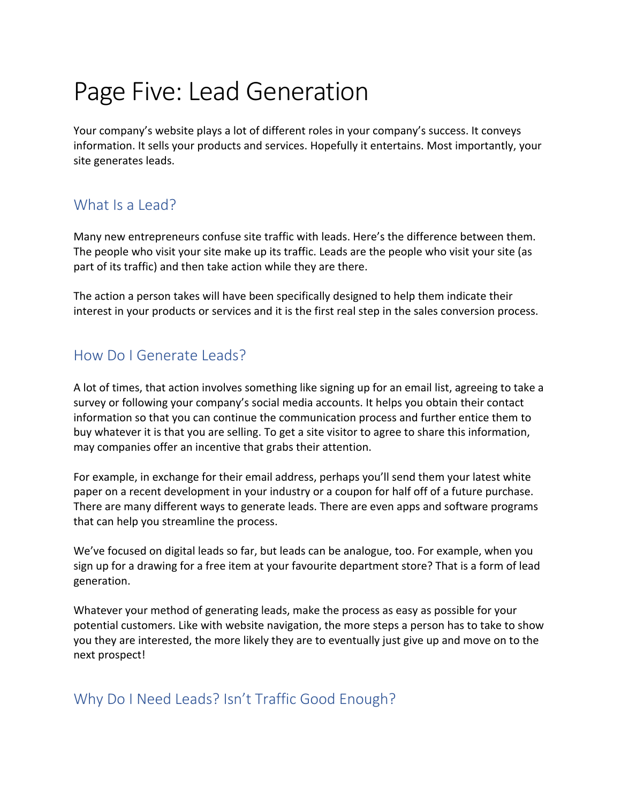## Page Five: Lead Generation

Your company's website plays a lot of different roles in your company's success. It conveys information. It sells your products and services. Hopefully it entertains. Most importantly, your site generates leads.

## What Is a Lead?

Many new entrepreneurs confuse site traffic with leads. Here's the difference between them. The people who visit your site make up its traffic. Leads are the people who visit your site (as part of its traffic) and then take action while they are there.

The action a person takes will have been specifically designed to help them indicate their interest in your products or services and it is the first real step in the sales conversion process.

## How Do I Generate Leads?

A lot of times, that action involves something like signing up for an email list, agreeing to take a survey or following your company's social media accounts. It helps you obtain their contact information so that you can continue the communication process and further entice them to buy whatever it is that you are selling. To get a site visitor to agree to share this information, may companies offer an incentive that grabs their attention.

For example, in exchange for their email address, perhaps you'll send them your latest white paper on a recent development in your industry or a coupon for half off of a future purchase. There are many different ways to generate leads. There are even apps and software programs that can help you streamline the process.

We've focused on digital leads so far, but leads can be analogue, too. For example, when you sign up for a drawing for a free item at your favourite department store? That is a form of lead generation.

Whatever your method of generating leads, make the process as easy as possible for your potential customers. Like with website navigation, the more steps a person has to take to show you they are interested, the more likely they are to eventually just give up and move on to the next prospect!

## Why Do I Need Leads? Isn't Traffic Good Enough?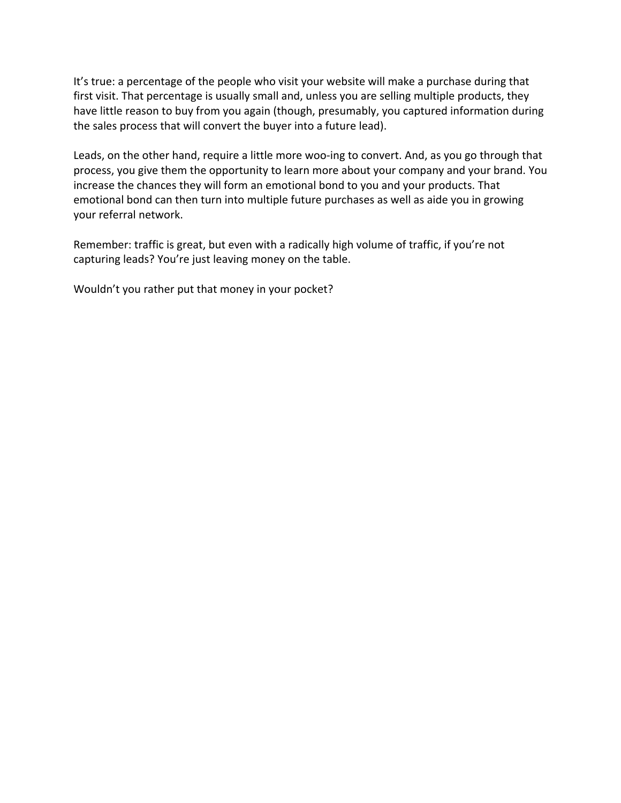It's true: a percentage of the people who visit your website will make a purchase during that first visit. That percentage is usually small and, unless you are selling multiple products, they have little reason to buy from you again (though, presumably, you captured information during the sales process that will convert the buyer into a future lead).

Leads, on the other hand, require a little more woo-ing to convert. And, as you go through that process, you give them the opportunity to learn more about your company and your brand. You increase the chances they will form an emotional bond to you and your products. That emotional bond can then turn into multiple future purchases as well as aide you in growing your referral network.

Remember: traffic is great, but even with a radically high volume of traffic, if you're not capturing leads? You're just leaving money on the table.

Wouldn't you rather put that money in your pocket?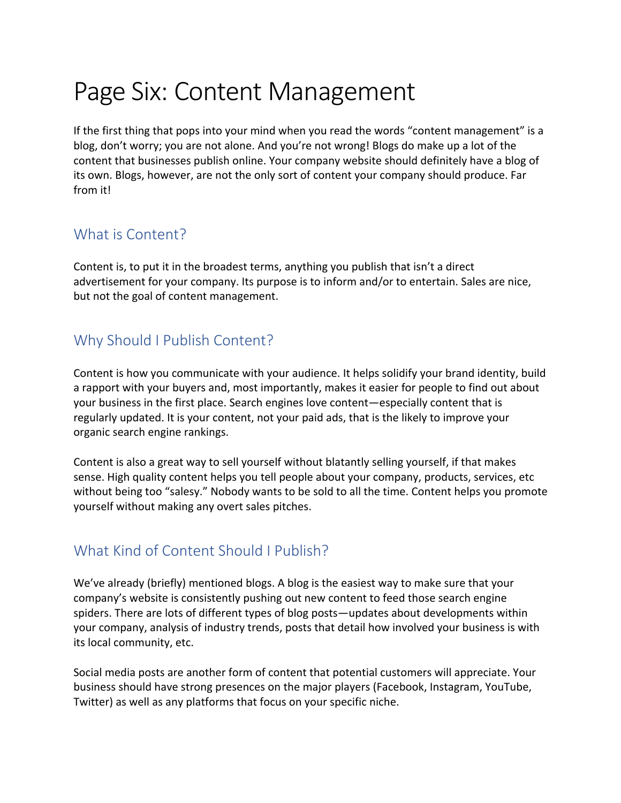## Page Six: Content Management

If the first thing that pops into your mind when you read the words "content management" is a blog, don't worry; you are not alone. And you're not wrong! Blogs do make up a lot of the content that businesses publish online. Your company website should definitely have a blog of its own. Blogs, however, are not the only sort of content your company should produce. Far from it!

#### What is Content?

Content is, to put it in the broadest terms, anything you publish that isn't a direct advertisement for your company. Its purpose is to inform and/or to entertain. Sales are nice, but not the goal of content management.

## Why Should I Publish Content?

Content is how you communicate with your audience. It helps solidify your brand identity, build a rapport with your buyers and, most importantly, makes it easier for people to find out about your business in the first place. Search engines love content—especially content that is regularly updated. It is your content, not your paid ads, that is the likely to improve your organic search engine rankings.

Content is also a great way to sell yourself without blatantly selling yourself, if that makes sense. High quality content helps you tell people about your company, products, services, etc without being too "salesy." Nobody wants to be sold to all the time. Content helps you promote yourself without making any overt sales pitches.

#### What Kind of Content Should I Publish?

We've already (briefly) mentioned blogs. A blog is the easiest way to make sure that your company's website is consistently pushing out new content to feed those search engine spiders. There are lots of different types of blog posts—updates about developments within your company, analysis of industry trends, posts that detail how involved your business is with its local community, etc.

Social media posts are another form of content that potential customers will appreciate. Your business should have strong presences on the major players (Facebook, Instagram, YouTube, Twitter) as well as any platforms that focus on your specific niche.